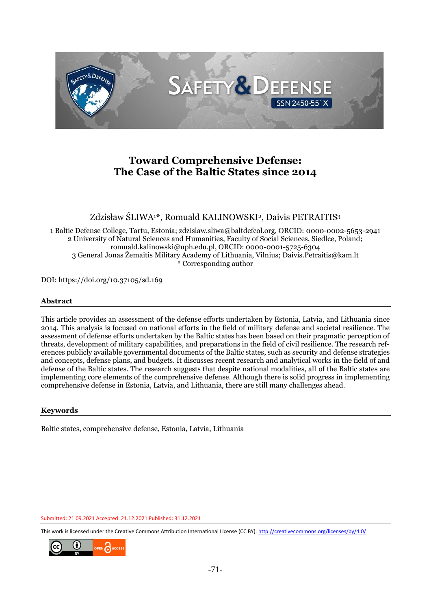

# **Toward Comprehensive Defense: The Case of the Baltic States since 2014**

Zdzisław ŚLIWA<sup>1\*</sup>, Romuald KALINOWSKI<sup>2</sup>, Daivis PETRAITIS<sup>3</sup>

 1 Baltic Defense College, Tartu, Estonia; zdzislaw.sliwa@baltdefcol.org, ORCID: 0000-0002-5653-2941 2 University of Natural Sciences and Humanities, Faculty of Social Sciences, Siedlce, Poland; romuald.kalinowski@uph.edu.pl, ORCID: 0000-0001-5725-6304 3 General Jonas Žemaitis Military Academy of Lithuania, Vilnius; Daivis.Petraitis@kam.lt \* Corresponding author

DOI: https://doi.org/10.37105/sd.169

#### **Abstract**

 This article provides an assessment of the defense efforts undertaken by Estonia, Latvia, and Lithuania since 2014. This analysis is focused on national efforts in the field of military defense and societal resilience. The assessment of defense efforts undertaken by the Baltic states has been based on their pragmatic perception of threats, development of military capabilities, and preparations in the field of civil resilience. The research references publicly available governmental documents of the Baltic states, such as security and defense strategies and concepts, defense plans, and budgets. It discusses recent research and analytical works in the field of and defense of the Baltic states. The research suggests that despite national modalities, all of the Baltic states are implementing core elements of the comprehensive defense. Although there is solid progress in implementing comprehensive defense in Estonia, Latvia, and Lithuania, there are still many challenges ahead.

#### **Keywords**

Baltic states, comprehensive defense, Estonia, Latvia, Lithuania

Submitted: 21.09.2021 Accepted: 21.12.2021 Published: 31.12.2021

This work is licensed under the Creative Commons Attribution International License (CC BY)[. http://creativecommons.org/licenses/by/4.0/](http://creativecommons.org/licenses/by/4.0/)

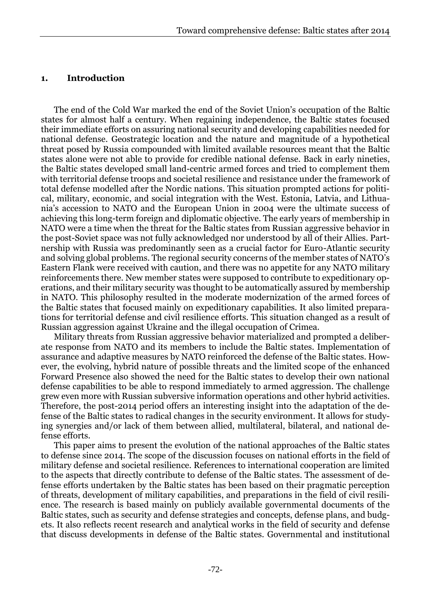### 1 **1. Introduction**

2 The end of the Cold War marked the end of the Soviet Union's occupation of the Baltic states for almost half a century. When regaining independence, the Baltic states focused 4 their immediate efforts on assuring national security and developing capabilities needed for 5 national defense. Geostrategic location and the nature and magnitude of a hypothetical 6 threat posed by Russia compounded with limited available resources meant that the Baltic 7 states alone were not able to provide for credible national defense. Back in early nineties, 8 the Baltic states developed small land-centric armed forces and tried to complement them with territorial defense troops and societal resilience and resistance under the framework of total defense modelled after the Nordic nations. This situation prompted actions for politi-11 cal, military, economic, and social integration with the West. Estonia, Latvia, and Lithuania's accession to NATO and the European Union in 2004 were the ultimate success of achieving this long-term foreign and diplomatic objective. The early years of membership in NATO were a time when the threat for the Baltic states from Russian aggressive behavior in 15 the post-Soviet space was not fully acknowledged nor understood by all of their Allies. Partnership with Russia was predominantly seen as a crucial factor for Euro-Atlantic security and solving global problems. The regional security concerns of the member states of NATO's Eastern Flank were received with caution, and there was no appetite for any NATO military 19 reinforcements there. New member states were supposed to contribute to expeditionary operations, and their military security was thought to be automatically assured by membership 21 in NATO. This philosophy resulted in the moderate modernization of the armed forces of 22 the Baltic states that focused mainly on expeditionary capabilities. It also limited prepara-23 tions for territorial defense and civil resilience efforts. This situation changed as a result of 24 Russian aggression against Ukraine and the illegal occupation of Crimea.

25 Military threats from Russian aggressive behavior materialized and prompted a deliberate response from NATO and its members to include the Baltic states. Implementation of assurance and adaptive measures by NATO reinforced the defense of the Baltic states. How-28 ever, the evolving, hybrid nature of possible threats and the limited scope of the enhanced 29 Forward Presence also showed the need for the Baltic states to develop their own national defense capabilities to be able to respond immediately to armed aggression. The challenge 31 grew even more with Russian subversive information operations and other hybrid activities. Therefore, the post-2014 period offers an interesting insight into the adaptation of the de-33 fense of the Baltic states to radical changes in the security environment. It allows for studying synergies and/or lack of them between allied, multilateral, bilateral, and national defense efforts.

This paper aims to present the evolution of the national approaches of the Baltic states 37 to defense since 2014. The scope of the discussion focuses on national efforts in the field of military defense and societal resilience. References to international cooperation are limited to the aspects that directly contribute to defense of the Baltic states. The assessment of defense efforts undertaken by the Baltic states has been based on their pragmatic perception 41 of threats, development of military capabilities, and preparations in the field of civil resilience. The research is based mainly on publicly available governmental documents of the Baltic states, such as security and defense strategies and concepts, defense plans, and budgets. It also reflects recent research and analytical works in the field of security and defense 45 that discuss developments in defense of the Baltic states. Governmental and institutional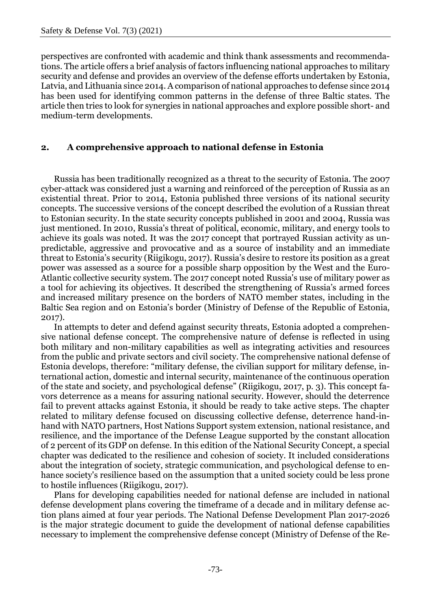1 perspectives are confronted with academic and think thank assessments and recommenda-2 tions. The article offers a brief analysis of factors influencing national approaches to military security and defense and provides an overview of the defense efforts undertaken by Estonia, 4 Latvia, and Lithuania since 2014. A comparison of national approaches to defense since 2014 has been used for identifying common patterns in the defense of three Baltic states. The 6 article then tries to look for synergies in national approaches and explore possible short- and medium-term developments.

### 8 **2. A comprehensive approach to national defense in Estonia**

9 Russia has been traditionally recognized as a threat to the security of Estonia. The 2007 10 cyber-attack was considered just a warning and reinforced of the perception of Russia as an existential threat. Prior to 2014, Estonia published three versions of its national security 12 concepts. The successive versions of the concept described the evolution of a Russian threat 13 to Estonian security. In the state security concepts published in 2001 and 2004, Russia was just mentioned. In 2010, Russia's threat of political, economic, military, and energy tools to achieve its goals was noted. It was the 2017 concept that portrayed Russian activity as unpredictable, aggressive and provocative and as a source of instability and an immediate 17 threat to Estonia's security (Riigikogu, 2017). Russia's desire to restore its position as a great 18 power was assessed as a source for a possible sharp opposition by the West and the Euro-Atlantic collective security system. The 2017 concept noted Russia's use of military power as a tool for achieving its objectives. It described the strengthening of Russia's armed forces and increased military presence on the borders of NATO member states, including in the Baltic Sea region and on Estonia's border (Ministry of Defense of the Republic of Estonia,  $2017$ ).

In attempts to deter and defend against security threats, Estonia adopted a comprehensive national defense concept. The comprehensive nature of defense is reflected in using 26 both military and non-military capabilities as well as integrating activities and resources 27 from the public and private sectors and civil society. The comprehensive national defense of Estonia develops, therefore: "military defense, the civilian support for military defense, in-29 ternational action, domestic and internal security, maintenance of the continuous operation 30 of the state and society, and psychological defense" (Riigikogu, 2017, p. 3). This concept fa-31 vors deterrence as a means for assuring national security. However, should the deterrence fail to prevent attacks against Estonia, it should be ready to take active steps. The chapter 33 related to military defense focused on discussing collective defense, deterrence hand-inhand with NATO partners, Host Nations Support system extension, national resistance, and 35 resilience, and the importance of the Defense League supported by the constant allocation 36 of 2 percent of its GDP on defense. In this edition of the National Security Concept, a special 37 chapter was dedicated to the resilience and cohesion of society. It included considerations about the integration of society, strategic communication, and psychological defense to enhance society's resilience based on the assumption that a united society could be less prone 40 to hostile influences (Riigikogu, 2017).

41 Plans for developing capabilities needed for national defense are included in national defense development plans covering the timeframe of a decade and in military defense action plans aimed at four year periods. The National Defense Development Plan 2017-2026 is the major strategic document to guide the development of national defense capabilities 45 necessary to implement the comprehensive defense concept (Ministry of Defense of the Re-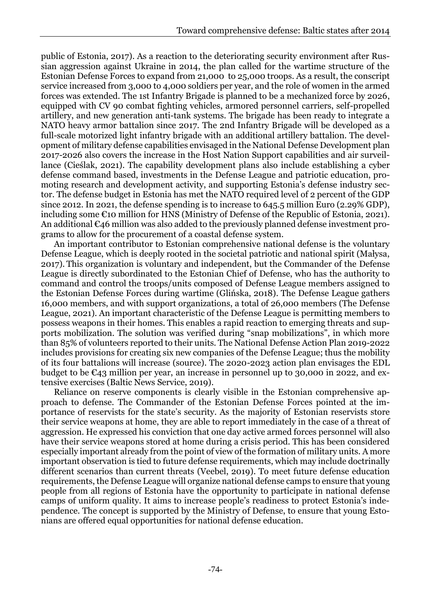1 public of Estonia, 2017). As a reaction to the deteriorating security environment after Rus-2 sian aggression against Ukraine in 2014, the plan called for the wartime structure of the Estonian Defense Forces to expand from 21,000 to 25,000 troops. As a result, the conscript service increased from 3,000 to 4,000 soldiers per year, and the role of women in the armed 5 forces was extended. The 1st Infantry Brigade is planned to be a mechanized force by 2026, 6 equipped with CV 90 combat fighting vehicles, armored personnel carriers, self-propelled artillery, and new generation anti-tank systems. The brigade has been ready to integrate a NATO heavy armor battalion since 2017. The 2nd Infantry Brigade will be developed as a full-scale motorized light infantry brigade with an additional artillery battalion. The devel-10 opment of military defense capabilities envisaged in the National Defense Development plan 11 2017-2026 also covers the increase in the Host Nation Support capabilities and air surveillance (Cieślak, 2021). The capability development plans also include establishing a cyber 13 defense command based, investments in the Defense League and patriotic education, promoting research and development activity, and supporting Estonia's defense industry sector. The defense budget in Estonia has met the NATO required level of 2 percent of the GDP since 2012. In 2021, the defense spending is to increase to 645.5 million Euro (2.29% GDP), including some  $\epsilon$ 10 million for HNS (Ministry of Defense of the Republic of Estonia, 2021). An additional  $\epsilon$ 46 million was also added to the previously planned defense investment programs to allow for the procurement of a coastal defense system.

An important contributor to Estonian comprehensive national defense is the voluntary 21 Defense League, which is deeply rooted in the societal patriotic and national spirit (Małysa, 22 2017). This organization is voluntary and independent, but the Commander of the Defense League is directly subordinated to the Estonian Chief of Defense, who has the authority to 24 command and control the troops/units composed of Defense League members assigned to 25 the Estonian Defense Forces during wartime (Glińska, 2018). The Defense League gathers 26 16,000 members, and with support organizations, a total of 26,000 members (The Defense League, 2021). An important characteristic of the Defense League is permitting members to possess weapons in their homes. This enables a rapid reaction to emerging threats and supports mobilization. The solution was verified during "snap mobilizations", in which more 30 than 85% of volunteers reported to their units. The National Defense Action Plan 2019-2022 includes provisions for creating six new companies of the Defense League; thus the mobility 32 of its four battalions will increase (source). The 2020-2023 action plan envisages the EDL budget to be  $\epsilon_{43}$  million per year, an increase in personnel up to 30,000 in 2022, and extensive exercises (Baltic News Service, 2019).

Reliance on reserve components is clearly visible in the Estonian comprehensive ap-36 proach to defense. The Commander of the Estonian Defense Forces pointed at the im-37 portance of reservists for the state's security. As the majority of Estonian reservists store their service weapons at home, they are able to report immediately in the case of a threat of aggression. He expressed his conviction that one day active armed forces personnel will also have their service weapons stored at home during a crisis period. This has been considered 41 especially important already from the point of view of the formation of military units. A more important observation is tied to future defense requirements, which may include doctrinally different scenarios than current threats (Veebel, 2019). To meet future defense education 44 requirements, the Defense League will organize national defense camps to ensure that young 45 people from all regions of Estonia have the opportunity to participate in national defense camps of uniform quality. It aims to increase people's readiness to protect Estonia's inde-47 pendence. The concept is supported by the Ministry of Defense, to ensure that young Estonians are offered equal opportunities for national defense education.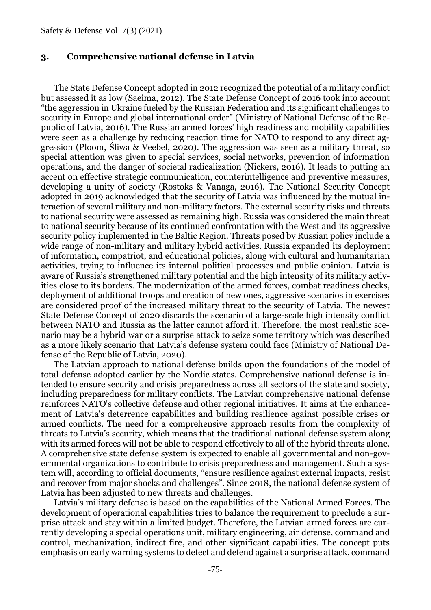#### 1 **3. Comprehensive national defense in Latvia**

2 The State Defense Concept adopted in 2012 recognized the potential of a military conflict but assessed it as low (Saeima, 2012). The State Defense Concept of 2016 took into account 4 "the aggression in Ukraine fueled by the Russian Federation and its significant challenges to security in Europe and global international order" (Ministry of National Defense of the Re-6 public of Latvia, 2016). The Russian armed forces' high readiness and mobility capabilities were seen as a challenge by reducing reaction time for NATO to respond to any direct aggression (Ploom, Śliwa & Veebel, 2020). The aggression was seen as a military threat, so special attention was given to special services, social networks, prevention of information 10 operations, and the danger of societal radicalization (Nickers, 2016). It leads to putting an accent on effective strategic communication, counterintelligence and preventive measures, 12 developing a unity of society (Rostoks & Vanaga, 2016). The National Security Concept adopted in 2019 acknowledged that the security of Latvia was influenced by the mutual in-14 teraction of several military and non-military factors. The external security risks and threats 15 to national security were assessed as remaining high. Russia was considered the main threat 16 to national security because of its continued confrontation with the West and its aggressive security policy implemented in the Baltic Region. Threats posed by Russian policy include a wide range of non-military and military hybrid activities. Russia expanded its deployment of information, compatriot, and educational policies, along with cultural and humanitarian activities, trying to influence its internal political processes and public opinion. Latvia is aware of Russia's strengthened military potential and the high intensity of its military activities close to its borders. The modernization of the armed forces, combat readiness checks, deployment of additional troops and creation of new ones, aggressive scenarios in exercises are considered proof of the increased military threat to the security of Latvia. The newest 25 State Defense Concept of 2020 discards the scenario of a large-scale high intensity conflict 26 between NATO and Russia as the latter cannot afford it. Therefore, the most realistic scenario may be a hybrid war or a surprise attack to seize some territory which was described 28 as a more likely scenario that Latvia's defense system could face (Ministry of National Defense of the Republic of Latvia, 2020).

The Latvian approach to national defense builds upon the foundations of the model of total defense adopted earlier by the Nordic states. Comprehensive national defense is in-32 tended to ensure security and crisis preparedness across all sectors of the state and society, including preparedness for military conflicts. The Latvian comprehensive national defense reinforces NATO's collective defense and other regional initiatives. It aims at the enhance-35 ment of Latvia's deterrence capabilities and building resilience against possible crises or armed conflicts. The need for a comprehensive approach results from the complexity of 37 threats to Latvia's security, which means that the traditional national defense system along with its armed forces will not be able to respond effectively to all of the hybrid threats alone. A comprehensive state defense system is expected to enable all governmental and non-governmental organizations to contribute to crisis preparedness and management. Such a system will, according to official documents, "ensure resilience against external impacts, resist and recover from major shocks and challenges". Since 2018, the national defense system of Latvia has been adjusted to new threats and challenges.

Latvia's military defense is based on the capabilities of the National Armed Forces. The development of operational capabilities tries to balance the requirement to preclude a sur-46 prise attack and stay within a limited budget. Therefore, the Latvian armed forces are currently developing a special operations unit, military engineering, air defense, command and 48 control, mechanization, indirect fire, and other significant capabilities. The concept puts emphasis on early warning systems to detect and defend against a surprise attack, command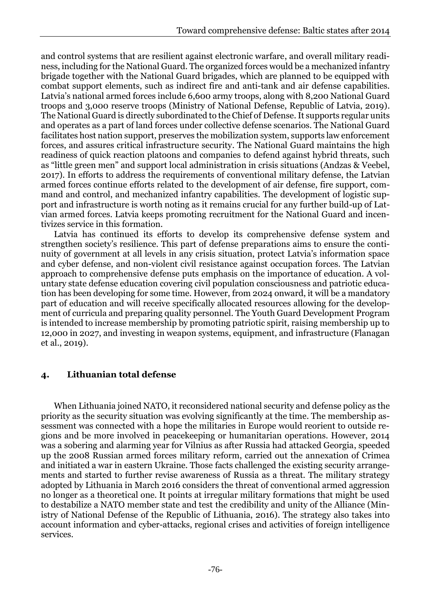1 and control systems that are resilient against electronic warfare, and overall military readi-2 ness, including for the National Guard. The organized forces would be a mechanized infantry 3 brigade together with the National Guard brigades, which are planned to be equipped with 4 combat support elements, such as indirect fire and anti-tank and air defense capabilities. 5 Latvia's national armed forces include 6,600 army troops, along with 8,200 National Guard 6 troops and 3,000 reserve troops (Ministry of National Defense, Republic of Latvia, 2019). 7 The National Guard is directly subordinated to the Chief of Defense. It supports regular units and operates as a part of land forces under collective defense scenarios. The National Guard facilitates host nation support, preserves the mobilization system, supports law enforcement forces, and assures critical infrastructure security. The National Guard maintains the high readiness of quick reaction platoons and companies to defend against hybrid threats, such as "little green men" and support local administration in crisis situations (Andzas & Veebel, 13 2017). In efforts to address the requirements of conventional military defense, the Latvian armed forces continue efforts related to the development of air defense, fire support, command and control, and mechanized infantry capabilities. The development of logistic sup-16 port and infrastructure is worth noting as it remains crucial for any further build-up of Latvian armed forces. Latvia keeps promoting recruitment for the National Guard and incentivizes service in this formation.

Latvia has continued its efforts to develop its comprehensive defense system and strengthen society's resilience. This part of defense preparations aims to ensure the conti-21 nuity of government at all levels in any crisis situation, protect Latvia's information space and cyber defense, and non-violent civil resistance against occupation forces. The Latvian approach to comprehensive defense puts emphasis on the importance of education. A vol-24 untary state defense education covering civil population consciousness and patriotic educa-25 tion has been developing for some time. However, from 2024 onward, it will be a mandatory part of education and will receive specifically allocated resources allowing for the development of curricula and preparing quality personnel. The Youth Guard Development Program is intended to increase membership by promoting patriotic spirit, raising membership up to 29 12,000 in 2027, and investing in weapon systems, equipment, and infrastructure (Flanagan et al., 2019).

## 31 **4. Lithuanian total defense**

32 When Lithuania joined NATO, it reconsidered national security and defense policy as the 33 priority as the security situation was evolving significantly at the time. The membership assessment was connected with a hope the militaries in Europe would reorient to outside re-35 gions and be more involved in peacekeeping or humanitarian operations. However, 2014 36 was a sobering and alarming year for Vilnius as after Russia had attacked Georgia, speeded 37 up the 2008 Russian armed forces military reform, carried out the annexation of Crimea and initiated a war in eastern Ukraine. Those facts challenged the existing security arrange-39 ments and started to further revise awareness of Russia as a threat. The military strategy adopted by Lithuania in March 2016 considers the threat of conventional armed aggression 41 no longer as a theoretical one. It points at irregular military formations that might be used 42 to destabilize a NATO member state and test the credibility and unity of the Alliance (Ministry of National Defense of the Republic of Lithuania, 2016). The strategy also takes into account information and cyber-attacks, regional crises and activities of foreign intelligence services.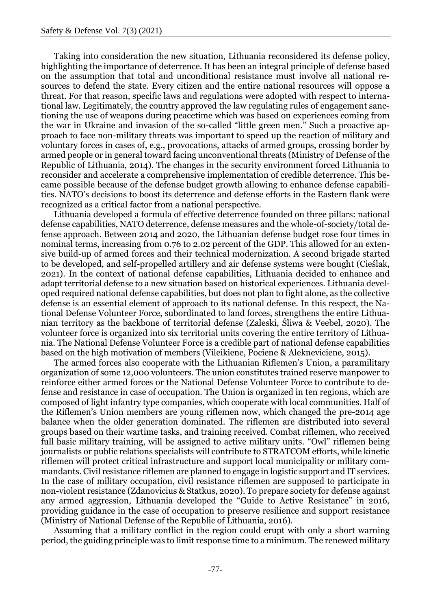1 Taking into consideration the new situation, Lithuania reconsidered its defense policy, 2 highlighting the importance of deterrence. It has been an integral principle of defense based 3 on the assumption that total and unconditional resistance must involve all national re-4 sources to defend the state. Every citizen and the entire national resources will oppose a 5 threat. For that reason, specific laws and regulations were adopted with respect to international law. Legitimately, the country approved the law regulating rules of engagement sanc-7 tioning the use of weapons during peacetime which was based on experiences coming from the war in Ukraine and invasion of the so-called "little green men." Such a proactive ap-9 proach to face non-military threats was important to speed up the reaction of military and voluntary forces in cases of, e.g., provocations, attacks of armed groups, crossing border by armed people or in general toward facing unconventional threats (Ministry of Defense of the Republic of Lithuania, 2014). The changes in the security environment forced Lithuania to 13 reconsider and accelerate a comprehensive implementation of credible deterrence. This became possible because of the defense budget growth allowing to enhance defense capabili-15 ties. NATO's decisions to boost its deterrence and defense efforts in the Eastern flank were recognized as a critical factor from a national perspective.

Lithuania developed a formula of effective deterrence founded on three pillars: national defense capabilities, NATO deterrence, defense measures and the whole-of-society/total de- fense approach. Between 2014 and 2020, the Lithuanian defense budget rose four times in nominal terms, increasing from 0.76 to 2.02 percent of the GDP. This allowed for an exten- sive build-up of armed forces and their technical modernization. A second brigade started to be developed, and self-propelled artillery and air defense systems were bought (Cieślak, 2021). In the context of national defense capabilities, Lithuania decided to enhance and adapt territorial defense to a new situation based on historical experiences. Lithuania devel- oped required national defense capabilities, but does not plan to fight alone, as the collective defense is an essential element of approach to its national defense. In this respect, the Na- tional Defense Volunteer Force, subordinated to land forces, strengthens the entire Lithua- nian territory as the backbone of territorial defense (Zaleski, Śliwa & Veebel, 2020). The volunteer force is organized into six territorial units covering the entire territory of Lithua- nia. The National Defense Volunteer Force is a credible part of national defense capabilities based on the high motivation of members (Vileikiene, Pociene & Alekneviciene, 2015).

The armed forces also cooperate with the Lithuanian Riflemen's Union, a paramilitary 33 organization of some 12,000 volunteers. The union constitutes trained reserve manpower to 34 reinforce either armed forces or the National Defense Volunteer Force to contribute to de-35 fense and resistance in case of occupation. The Union is organized in ten regions, which are 36 composed of light infantry type companies, which cooperate with local communities. Half of 37 the Riflemen's Union members are young riflemen now, which changed the pre-2014 age balance when the older generation dominated. The riflemen are distributed into several 39 groups based on their wartime tasks, and training received. Combat riflemen, who received full basic military training, will be assigned to active military units. "Owl" riflemen being journalists or public relations specialists will contribute to STRATCOM efforts, while kinetic 42 riflemen will protect critical infrastructure and support local municipality or military commandants. Civil resistance riflemen are planned to engage in logistic support and IT services. In the case of military occupation, civil resistance riflemen are supposed to participate in non-violent resistance (Zdanovicius & Statkus, 2020). To prepare society for defense against any armed aggression, Lithuania developed the "Guide to Active Resistance" in 2016, 47 providing guidance in the case of occupation to preserve resilience and support resistance (Ministry of National Defense of the Republic of Lithuania, 2016).

Assuming that a military conflict in the region could erupt with only a short warning 50 period, the guiding principle was to limit response time to a minimum. The renewed military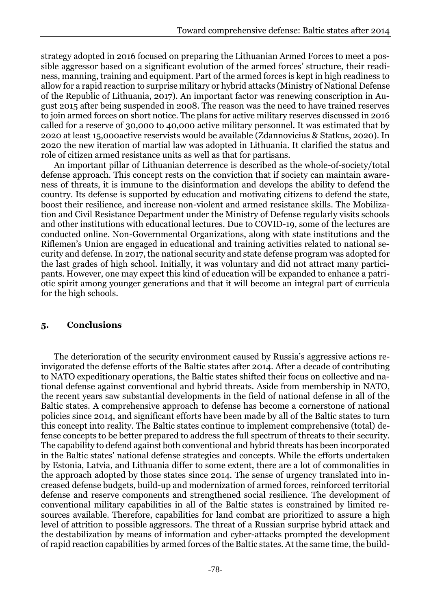strategy adopted in 2016 focused on preparing the Lithuanian Armed Forces to meet a pos- sible aggressor based on a significant evolution of the armed forces' structure, their readiness, manning, training and equipment. Part of the armed forces is kept in high readiness to allow for a rapid reaction to surprise military or hybrid attacks (Ministry of National Defense of the Republic of Lithuania, 2017). An important factor was renewing conscription in Au- gust 2015 after being suspended in 2008. The reason was the need to have trained reserves to join armed forces on short notice. The plans for active military reserves discussed in 2016 called for a reserve of 30,000 to 40,000 active military personnel. It was estimated that by 2020 at least 15,000active reservists would be available (Zdannovicius & Statkus, 2020). In 2020 the new iteration of martial law was adopted in Lithuania. It clarified the status and role of citizen armed resistance units as well as that for partisans.

An important pillar of Lithuanian deterrence is described as the whole-of-society/total 13 defense approach. This concept rests on the conviction that if society can maintain awareness of threats, it is immune to the disinformation and develops the ability to defend the country. Its defense is supported by education and motivating citizens to defend the state, 16 boost their resilience, and increase non-violent and armed resistance skills. The Mobilization and Civil Resistance Department under the Ministry of Defense regularly visits schools and other institutions with educational lectures. Due to COVID-19, some of the lectures are 19 conducted online. Non-Governmental Organizations, along with state institutions and the Riflemen's Union are engaged in educational and training activities related to national se-21 curity and defense. In 2017, the national security and state defense program was adopted for 22 the last grades of high school. Initially, it was voluntary and did not attract many participants. However, one may expect this kind of education will be expanded to enhance a patri-24 otic spirit among younger generations and that it will become an integral part of curricula for the high schools.

## 26 **5. Conclusions**

27 The deterioration of the security environment caused by Russia's aggressive actions re-28 invigorated the defense efforts of the Baltic states after 2014. After a decade of contributing 29 to NATO expeditionary operations, the Baltic states shifted their focus on collective and national defense against conventional and hybrid threats. Aside from membership in NATO, 31 the recent years saw substantial developments in the field of national defense in all of the Baltic states. A comprehensive approach to defense has become a cornerstone of national 33 policies since 2014, and significant efforts have been made by all of the Baltic states to turn this concept into reality. The Baltic states continue to implement comprehensive (total) de-35 fense concepts to be better prepared to address the full spectrum of threats to their security. The capability to defend against both conventional and hybrid threats has been incorporated in the Baltic states' national defense strategies and concepts. While the efforts undertaken 38 by Estonia, Latvia, and Lithuania differ to some extent, there are a lot of commonalities in the approach adopted by those states since 2014. The sense of urgency translated into in-40 creased defense budgets, build-up and modernization of armed forces, reinforced territorial defense and reserve components and strengthened social resilience. The development of 42 conventional military capabilities in all of the Baltic states is constrained by limited resources available. Therefore, capabilities for land combat are prioritized to assure a high level of attrition to possible aggressors. The threat of a Russian surprise hybrid attack and 45 the destabilization by means of information and cyber-attacks prompted the development 46 of rapid reaction capabilities by armed forces of the Baltic states. At the same time, the build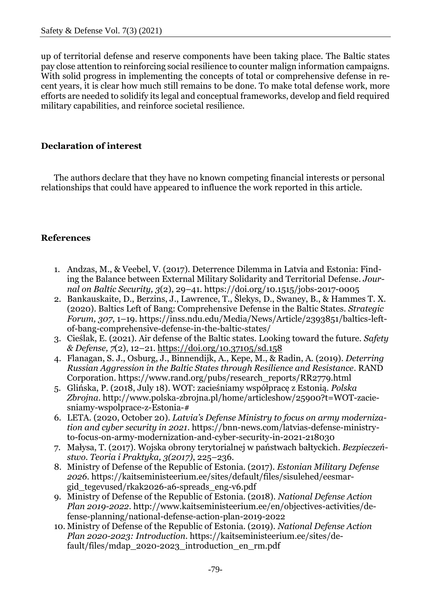up of territorial defense and reserve components have been taking place. The Baltic states pay close attention to reinforcing social resilience to counter malign information campaigns. With solid progress in implementing the concepts of total or comprehensive defense in re- cent years, it is clear how much still remains to be done. To make total defense work, more efforts are needed to solidify its legal and conceptual frameworks, develop and field required military capabilities, and reinforce societal resilience.

# **Declaration of interest**

The authors declare that they have no known competing financial interests or personal relationships that could have appeared to influence the work reported in this article.

# **References**

- 1. Andzas, M., & Veebel, V. (2017). Deterrence Dilemma in Latvia and Estonia: Find- ing the Balance between External Military Solidarity and Territorial Defense. *Jour-nal on Baltic Security, 3*(2), 29–41. https://doi.org/10.1515/jobs-2017-0005
- 2. Bankauskaite, D., Berzins, J., Lawrence, T., Šlekys, D., Swaney, B., & Hammes T. X. (2020). Baltics Left of Bang: Comprehensive Defense in the Baltic States. *Strategic Forum, 307*, 1–19. https://inss.ndu.edu/Media/News/Article/2393851/baltics-leftof-bang-comprehensive-defense-in-the-baltic-states/
- 3. Cieślak, E. (2021). Air defense of the Baltic states. Looking toward the future. *Safety & Defense, 7*(2), 12–21.<https://doi.org/10.37105/sd.158>
- 4. Flanagan, S. J., Osburg, J., Binnendijk, A., Kepe, M., & Radin, A. (2019). *Deterring Russian Aggression in the Baltic States through Resilience and Resistance*. RAND Corporation. https://www.rand.org/pubs/research\_reports/RR2779.html
- 5. Glińska, P. (2018, July 18). WOT: zacieśniamy współpracę z Estonią. *Polska Zbrojna*. http://www.polska-zbrojna.pl/home/articleshow/25900?t=WOT-zaciesniamy-wspolprace-z-Estonia-#
- 6. LETA. (2020, October 20). *Latvia's Defense Ministry to focus on army moderniza- tion and cyber security in 2021*. https://bnn-news.com/latvias-defense-ministry-to-focus-on-army-modernization-and-cyber-security-in-2021-218030
- 7. Małysa, T. (2017). Wojska obrony terytorialnej w państwach bałtyckich. *Bezpieczeń-stwo. Teoria i Praktyka, 3(2017)*, 225–236.
- 8. Ministry of Defense of the Republic of Estonia. (2017). *Estonian Military Defense 2026*. https://kaitseministeerium.ee/sites/default/files/sisulehed/eesmargid\_tegevused/rkak2026-a6-spreads\_eng-v6.pdf
- 9. Ministry of Defense of the Republic of Estonia. (2018). *National Defense Action Plan 2019-2022*. http://www.kaitseministeerium.ee/en/objectives-activities/de-fense-planning/national-defense-action-plan-2019-2022
- 10. Ministry of Defense of the Republic of Estonia. (2019). *National Defense Action Plan 2020-2023: Introduction*. https://kaitseministeerium.ee/sites/default/files/mdap\_2020-2023\_introduction\_en\_rm.pdf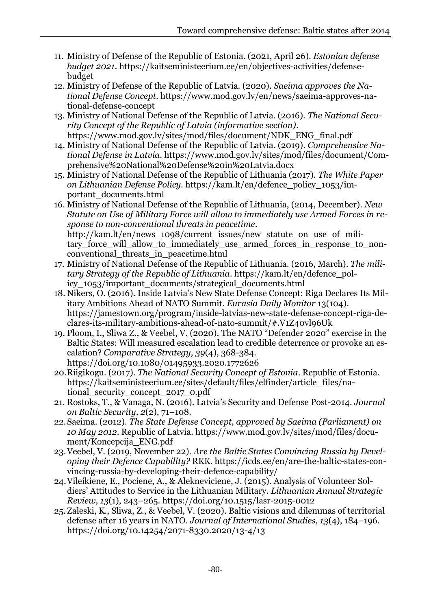- 11. Ministry of Defense of the Republic of Estonia. (2021, April 26). *Estonian defense budget 2021*. https://kaitseministeerium.ee/en/objectives-activities/defense- budget
	- 12. Ministry of Defense of the Republic of Latvia. (2020). *Saeima approves the Na- tional Defense Concept*. https://www.mod.gov.lv/en/news/saeima-approves-na-tional-defense-concept
	- 13. Ministry of National Defense of the Republic of Latvia. (2016). *The National Secu- rity Concept of the Republic of Latvia (informative section)*. https://www.mod.gov.lv/sites/mod/files/document/NDK\_ENG\_final.pdf
	- 14. Ministry of National Defense of the Republic of Latvia. (2019). *Comprehensive Na- tional Defense in Latvia*. https://www.mod.gov.lv/sites/mod/files/document/Com-prehensive%20National%20Defense%20in%20Latvia.docx
	- 15. Ministry of National Defense of the Republic of Lithuania (2017). *The White Paper on Lithuanian Defense Policy.* https://kam.lt/en/defence\_policy\_1053/im-portant\_documents.html
	- 16. Ministry of National Defense of the Republic of Lithuania, (2014, December). *New Statute on Use of Military Force will allow to immediately use Armed Forces in re- sponse to non-conventional threats in peacetime*. http://kam.lt/en/news\_1098/current\_issues/new\_statute\_on\_use\_of\_military\_force\_will\_allow\_to\_immediately\_use\_armed\_forces\_in\_response\_to\_nonconventional threats in peacetime.html
	- 17. Ministry of National Defense of the Republic of Lithuania. (2016, March). *The mili- tary Strategy of the Republic of Lithuania*. https://kam.lt/en/defence\_policy 1053/important documents/strategical documents.html
	- 18. Nikers, O. (2016). Inside Latvia's New State Defense Concept: Riga Declares Its Mil- itary Ambitions Ahead of NATO Summit. *Eurasia Daily Monitor* 13(104). https://jamestown.org/program/inside-latvias-new-state-defense-concept-riga-de-clares-its-military-ambitions-ahead-of-nato-summit/#.V1Z40vl96Uk
	- 19. Ploom, I., Sliwa Z., & Veebel, V. (2020). The NATO "Defender 2020" exercise in the Baltic States: Will measured escalation lead to credible deterrence or provoke an es- calation? *Comparative Strategy, 39*(4), 368-384. https://doi.org/10.1080/01495933.2020.1772626
	- 20.Riigikogu. (2017). *The National Security Concept of Estonia*. Republic of Estonia. https://kaitseministeerium.ee/sites/default/files/elfinder/article\_files/national security concept 2017 0.pdf
	- 21. Rostoks, T., & Vanaga, N. (2016). Latvia's Security and Defense Post-2014. *Journal on Baltic Security, 2*(2), 71–108.
	- 22.Saeima. (2012). *The State Defense Concept, approved by Saeima (Parliament) on 10 May 2012*. Republic of Latvia. https://www.mod.gov.lv/sites/mod/files/docu-ment/Koncepcija\_ENG.pdf
	- 23.Veebel, V. (2019, November 22). *Are the Baltic States Convincing Russia by Devel- oping their Defence Capability?* RKK. https://icds.ee/en/are-the-baltic-states-con-vincing-russia-by-developing-their-defence-capability/
	- 24.Vileikiene, E., Pociene, A., & Alekneviciene, J. (2015). Analysis of Volunteer Sol- diers' Attitudes to Service in the Lithuanian Military. *Lithuanian Annual Strategic Review, 13*(1), 243–265. https://doi.org/10.1515/lasr-2015-0012
	- 25.Zaleski, K., Sliwa, Z., & Veebel, V. (2020). Baltic visions and dilemmas of territorial defense after 16 years in NATO. *Journal of International Studies, 13*(4), 184–196. https://doi.org/10.14254/2071-8330.2020/13-4/13